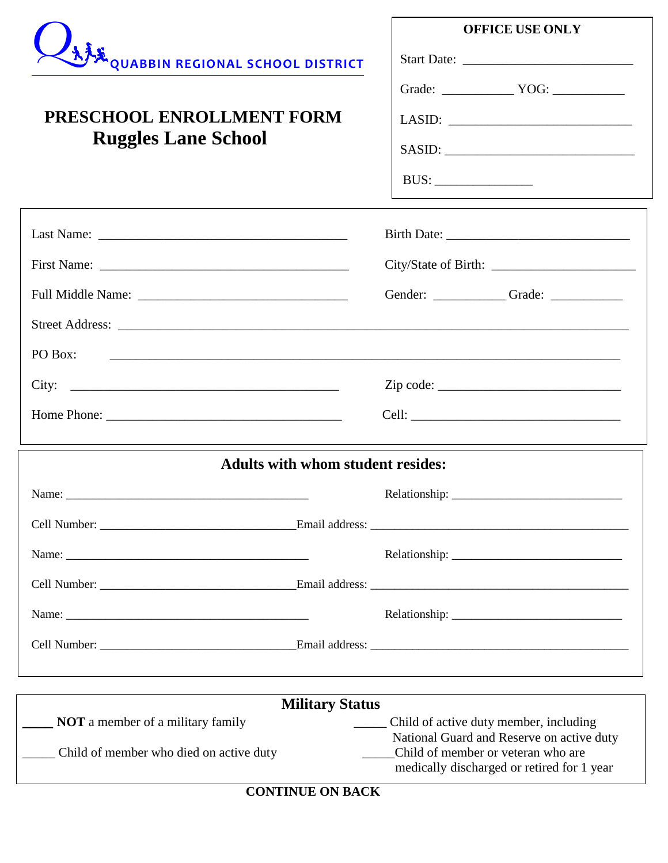|                                                                                                                                  | <b>OFFICE USE ONLY</b>                                                              |
|----------------------------------------------------------------------------------------------------------------------------------|-------------------------------------------------------------------------------------|
| <b>AFE QUABBIN REGIONAL SCHOOL DISTRICT</b>                                                                                      |                                                                                     |
|                                                                                                                                  | Grade: $\_\_\_\_\_$ YOG: $\_\_\_\_\_\_\_\_\_\_$                                     |
| PRESCHOOL ENROLLMENT FORM<br><b>Ruggles Lane School</b>                                                                          | $\boxed{\text{LASID:}\n \qquad \qquad \qquad \qquad }$                              |
|                                                                                                                                  |                                                                                     |
|                                                                                                                                  |                                                                                     |
|                                                                                                                                  |                                                                                     |
|                                                                                                                                  |                                                                                     |
|                                                                                                                                  |                                                                                     |
|                                                                                                                                  | Gender: _____________Grade: _____________                                           |
|                                                                                                                                  |                                                                                     |
| PO Box:<br><u> 1989 - Johann Harry Harry Harry Harry Harry Harry Harry Harry Harry Harry Harry Harry Harry Harry Harry Harry</u> |                                                                                     |
|                                                                                                                                  | $Zip code: \_$                                                                      |
|                                                                                                                                  |                                                                                     |
| <b>Adults with whom student resides:</b>                                                                                         |                                                                                     |
|                                                                                                                                  |                                                                                     |
|                                                                                                                                  |                                                                                     |
|                                                                                                                                  |                                                                                     |
|                                                                                                                                  |                                                                                     |
|                                                                                                                                  |                                                                                     |
|                                                                                                                                  |                                                                                     |
|                                                                                                                                  |                                                                                     |
| <b>Military Status</b>                                                                                                           |                                                                                     |
| <b>NOT</b> a member of a military family                                                                                         | Child of active duty member, including<br>National Guard and Reserve on active duty |
| _______ Child of member who died on active duty                                                                                  | Child of member or veteran who are<br>medically discharged or retired for 1 year    |

**CONTINUE ON BACK**